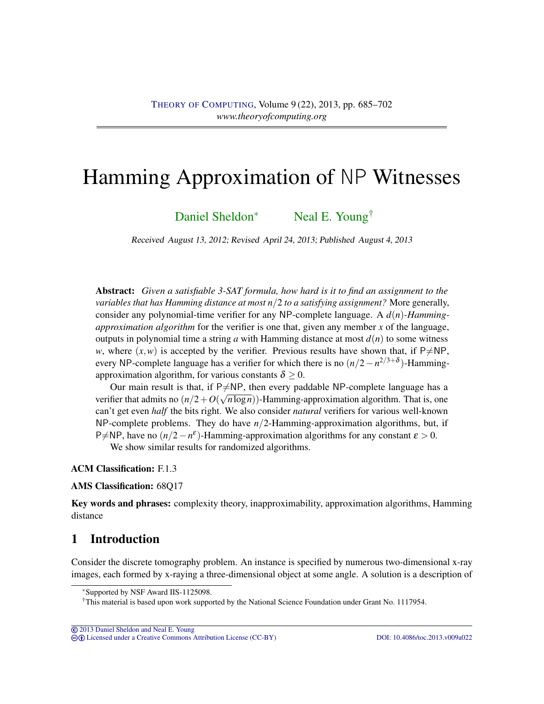# Hamming Approximation of NP Witnesses

[Daniel Sheldon](#page-16-0)<sup>∗</sup> [Neal E. Young](#page-16-1)<sup>†</sup>

Received August 13, 2012; Revised April 24, 2013; Published August 4, 2013

Abstract: *Given a satisfiable 3-SAT formula, how hard is it to find an assignment to the variables that has Hamming distance at most n*/2 *to a satisfying assignment?* More generally, consider any polynomial-time verifier for any NP-complete language. A *d*(*n*)*-Hammingapproximation algorithm* for the verifier is one that, given any member *x* of the language, outputs in polynomial time a string *a* with Hamming distance at most  $d(n)$  to some witness *w*, where  $(x, w)$  is accepted by the verifier. Previous results have shown that, if P $\neq$ NP, every NP-complete language has a verifier for which there is no  $(n/2 - n^{2/3+\delta})$ -Hammingapproximation algorithm, for various constants  $\delta$  > 0.

Our main result is that, if P $\neq$ NP, then every paddable NP-complete language has a verifier that admits no  $(n/2 + O(\sqrt{n \log n}))$ -Hamming-approximation algorithm. That is, one can't get even *half* the bits right. We also consider *natural* verifiers for various well-known NP-complete problems. They do have *n*/2-Hamming-approximation algorithms, but, if P≠NP, have no  $(n/2 - n^{\varepsilon})$ -Hamming-approximation algorithms for any constant  $\varepsilon > 0$ .

We show similar results for randomized algorithms.

### ACM Classification: F.1.3

### AMS Classification: 68Q17

Key words and phrases: complexity theory, inapproximability, approximation algorithms, Hamming distance

# 1 Introduction

Consider the discrete tomography problem. An instance is specified by numerous two-dimensional x-ray images, each formed by x-raying a three-dimensional object at some angle. A solution is a description of

cb [Licensed under a Creative Commons Attribution License \(CC-BY\)](http://creativecommons.org/licenses/by/3.0/) [DOI: 10.4086/toc.2013.v009a022](http://dx.doi.org/10.4086/toc.2013.v009a022)

<sup>∗</sup>Supported by NSF Award IIS-1125098.

<sup>†</sup>This material is based upon work supported by the National Science Foundation under Grant No. 1117954.

<sup>©</sup> [2013 Daniel Sheldon and Neal E. Young](http://theoryofcomputing.org/copyright2009.html)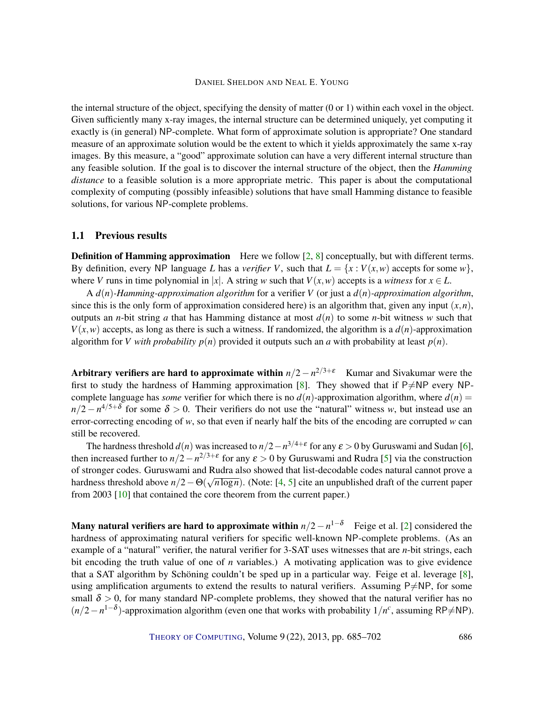<span id="page-1-0"></span>the internal structure of the object, specifying the density of matter (0 or 1) within each voxel in the object. Given sufficiently many x-ray images, the internal structure can be determined uniquely, yet computing it exactly is (in general) NP-complete. What form of approximate solution is appropriate? One standard measure of an approximate solution would be the extent to which it yields approximately the same x-ray images. By this measure, a "good" approximate solution can have a very different internal structure than any feasible solution. If the goal is to discover the internal structure of the object, then the *Hamming distance* to a feasible solution is a more appropriate metric. This paper is about the computational complexity of computing (possibly infeasible) solutions that have small Hamming distance to feasible solutions, for various NP-complete problems.

### 1.1 Previous results

**Definition of Hamming approximation** Here we follow [\[2,](#page-15-0) [8\]](#page-16-2) conceptually, but with different terms. By definition, every NP language *L* has a *verifier V*, such that  $L = \{x : V(x, w) \text{ accepts for some } w\}$ , where *V* runs in time polynomial in |*x*|. A string *w* such that  $V(x, w)$  accepts is a *witness* for  $x \in L$ .

A *d*(*n*)*-Hamming-approximation algorithm* for a verifier *V* (or just a *d*(*n*)*-approximation algorithm*, since this is the only form of approximation considered here) is an algorithm that, given any input  $(x, n)$ , outputs an *n*-bit string *a* that has Hamming distance at most  $d(n)$  to some *n*-bit witness *w* such that  $V(x, w)$  accepts, as long as there is such a witness. If randomized, the algorithm is a  $d(n)$ -approximation algorithm for *V with probability p(n)* provided it outputs such an *a* with probability at least  $p(n)$ .

Arbitrary verifiers are hard to approximate within  $n/2 - n^{2/3+\epsilon}$  Kumar and Sivakumar were the first to study the hardness of Hamming approximation [\[8\]](#page-16-2). They showed that if  $P\neq NP$  every NPcomplete language has *some* verifier for which there is no  $d(n)$ -approximation algorithm, where  $d(n)$  =  $n/2 - n^{4/5+\delta}$  for some  $\delta > 0$ . Their verifiers do not use the "natural" witness *w*, but instead use an error-correcting encoding of *w*, so that even if nearly half the bits of the encoding are corrupted *w* can still be recovered.

The hardness threshold  $d(n)$  was increased to  $n/2 - n^{3/4+\epsilon}$  for any  $\epsilon > 0$  by Guruswami and Sudan [\[6\]](#page-15-1), then increased further to  $n/2 - n^{2/3+\epsilon}$  for any  $\epsilon > 0$  by Guruswami and Rudra [\[5\]](#page-15-2) via the construction of stronger codes. Guruswami and Rudra also showed that list-decodable codes natural cannot prove a hardness threshold above *n*/2−Θ( *n*log*n*). (Note: [\[4,](#page-15-3) [5\]](#page-15-2) cite an unpublished draft of the current paper from 2003 [\[10\]](#page-16-3) that contained the core theorem from the current paper.)

Many natural verifiers are hard to approximate within *n*/2−*n* <sup>1</sup>−<sup>δ</sup> Feige et al. [\[2\]](#page-15-0) considered the hardness of approximating natural verifiers for specific well-known NP-complete problems. (As an example of a "natural" verifier, the natural verifier for 3-SAT uses witnesses that are *n*-bit strings, each bit encoding the truth value of one of *n* variables.) A motivating application was to give evidence that a SAT algorithm by Schöning couldn't be sped up in a particular way. Feige et al. leverage [\[8\]](#page-16-2), using amplification arguments to extend the results to natural verifiers. Assuming  $P\neq NP$ , for some small  $\delta > 0$ , for many standard NP-complete problems, they showed that the natural verifier has no  $(n/2 - n^{1-\delta})$ -approximation algorithm (even one that works with probability 1/*n<sup>c</sup>*, assuming RP≠NP).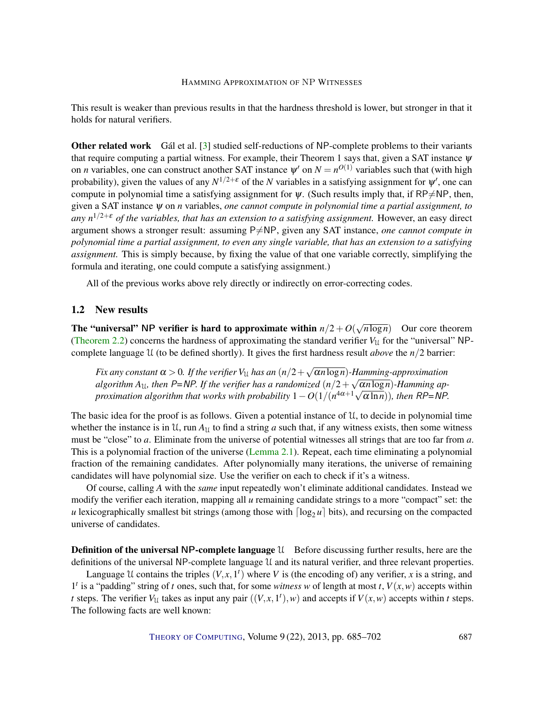<span id="page-2-0"></span>This result is weaker than previous results in that the hardness threshold is lower, but stronger in that it holds for natural verifiers.

Other related work Gál et al. [\[3\]](#page-15-4) studied self-reductions of NP-complete problems to their variants that require computing a partial witness. For example, their Theorem 1 says that, given a SAT instance  $\psi$ on *n* variables, one can construct another SAT instance  $\psi'$  on  $N = n^{O(1)}$  variables such that (with high probability), given the values of any  $N^{1/2+\epsilon}$  of the *N* variables in a satisfying assignment for  $\psi'$ , one can compute in polynomial time a satisfying assignment for  $\psi$ . (Such results imply that, if RP $\neq$ NP, then, given a SAT instance ψ on *n* variables, *one cannot compute in polynomial time a partial assignment, to any n* <sup>1</sup>/2+<sup>ε</sup> *of the variables, that has an extension to a satisfying assignment.* However, an easy direct argument shows a stronger result: assuming  $P\neq NP$ , given any SAT instance, *one cannot compute in polynomial time a partial assignment, to even any single variable, that has an extension to a satisfying assignment.* This is simply because, by fixing the value of that one variable correctly, simplifying the formula and iterating, one could compute a satisfying assignment.)

All of the previous works above rely directly or indirectly on error-correcting codes.

### 1.2 New results

The "universal" NP verifier is hard to approximate within  $n/2 + O(n)$ √ *n*log*n*) Our core theorem [\(Theorem](#page-5-0) [2.2\)](#page-5-0) concerns the hardness of approximating the standard verifier  $V_{\rm U}$  for the "universal" NPcomplete language U (to be defined shortly). It gives the first hardness result *above* the *n*/2 barrier:

*Fix any constant*  $\alpha > 0$ *. If the verifier*  $V_{\mathfrak{U}}$  *has an*  $(n/2 + 1)$ √ α*n*log*n*)*-Hamming-approximation* √ *algorithm*  $A_{\mathfrak{U}}$ , then P=NP. If the verifier has a randomized  $(n/2 + \sqrt{\alpha n \log n})$ -Hamming ap*proximation algorithm that works with probability*  $1-O(1/(n^{4\alpha+1}\sqrt{\alpha \ln n}))$ *, then RP=NP.* 

The basic idea for the proof is as follows. Given a potential instance of U, to decide in polynomial time whether the instance is in U, run  $A_{\mathcal{U}}$  to find a string *a* such that, if any witness exists, then some witness must be "close" to *a*. Eliminate from the universe of potential witnesses all strings that are too far from *a*. This is a polynomial fraction of the universe [\(Lemma](#page-4-0) [2.1\)](#page-4-0). Repeat, each time eliminating a polynomial fraction of the remaining candidates. After polynomially many iterations, the universe of remaining candidates will have polynomial size. Use the verifier on each to check if it's a witness.

Of course, calling *A* with the *same* input repeatedly won't eliminate additional candidates. Instead we modify the verifier each iteration, mapping all *u* remaining candidate strings to a more "compact" set: the *u* lexicographically smallest bit strings (among those with  $\lceil \log_2 u \rceil$  bits), and recursing on the compacted universe of candidates.

**Definition of the universal NP-complete language**  $\mathcal{U}$  Before discussing further results, here are the definitions of the universal NP-complete language U and its natural verifier, and three relevant properties.

Language U contains the triples  $(V, x, 1<sup>t</sup>)$  where *V* is (the encoding of) any verifier, *x* is a string, and 1<sup>*t*</sup> is a "padding" string of *t* ones, such that, for some *witness w* of length at most *t*,  $V(x, w)$  accepts within *t* steps. The verifier  $V_{\mathcal{U}}$  takes as input any pair  $((V, x, 1^t), w)$  and accepts if  $V(x, w)$  accepts within *t* steps. The following facts are well known: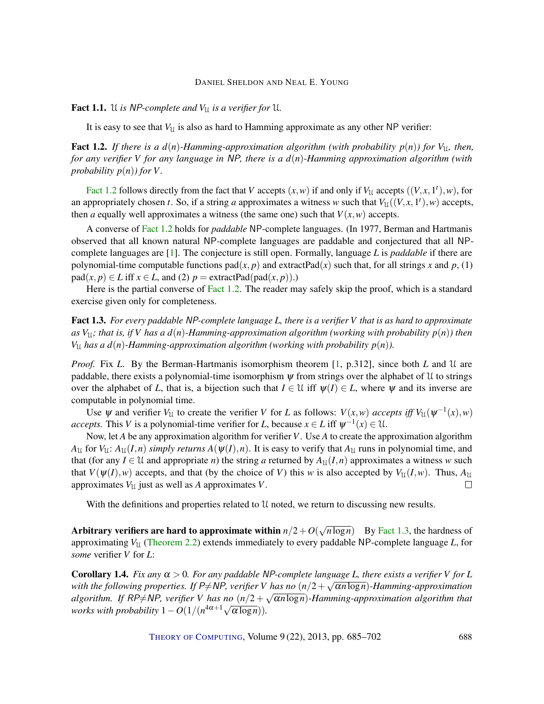<span id="page-3-3"></span>Fact 1.1. U *is NP-complete and*  $V_{\text{U}}$  *is a verifier for* U.

It is easy to see that  $V_{\mathcal{U}}$  is also as hard to Hamming approximate as any other NP verifier:

<span id="page-3-0"></span>**Fact 1.2.** If there is a  $d(n)$ -Hamming-approximation algorithm (with probability  $p(n)$ ) for  $V_{\mathfrak{U}}$ , then, *for any verifier V for any language in* NP*, there is a d*(*n*)*-Hamming approximation algorithm (with probability*  $p(n)$  *for V.* 

[Fact](#page-3-0) [1.2](#page-3-0) follows directly from the fact that *V* accepts  $(x, w)$  if and only if  $V_{\mathcal{U}}$  accepts  $((V, x, 1^t), w)$ , for an appropriately chosen *t*. So, if a string *a* approximates a witness *w* such that  $V_{\mathcal{U}}((V, x, 1^t), w)$  accepts, then *a* equally well approximates a witness (the same one) such that  $V(x, w)$  accepts.

A converse of [Fact](#page-3-0) [1.2](#page-3-0) holds for *paddable* NP-complete languages. (In 1977, Berman and Hartmanis observed that all known natural NP-complete languages are paddable and conjectured that all NPcomplete languages are [\[1\]](#page-15-5). The conjecture is still open. Formally, language *L* is *paddable* if there are polynomial-time computable functions  $pad(x, p)$  and  $extractPad(x)$  such that, for all strings x and p, (1)  $pad(x, p) \in L$  iff  $x \in L$ , and (2)  $p =$  extractPad(pad( $x, p$ )).)

Here is the partial converse of [Fact](#page-3-0) [1.2.](#page-3-0) The reader may safely skip the proof, which is a standard exercise given only for completeness.

<span id="page-3-1"></span>Fact 1.3. *For every paddable* NP*-complete language L, there is a verifier V that is as hard to approximate* as  $V_{\mathfrak{U}}$ ; that is, if V has a  $d(n)$ -Hamming-approximation algorithm (working with probability  $p(n)$ ) then  $V_{\text{U}}$  has a  $d(n)$ -Hamming-approximation algorithm (working with probability  $p(n)$ ).

*Proof.* Fix *L*. By the Berman-Hartmanis isomorphism theorem [\[1,](#page-15-5) p.312], since both *L* and U are paddable, there exists a polynomial-time isomorphism  $\psi$  from strings over the alphabet of U to strings over the alphabet of *L*, that is, a bijection such that  $I \in \mathcal{U}$  iff  $\psi(I) \in L$ , where  $\psi$  and its inverse are computable in polynomial time.

Use  $\psi$  and verifier  $V_{\mathfrak{U}}$  to create the verifier *V* for *L* as follows:  $V(x, w)$  *accepts iff*  $V_{\mathfrak{U}}(\psi^{-1}(x), w)$ *accepts.* This *V* is a polynomial-time verifier for *L*, because  $x \in L$  iff  $\psi^{-1}(x) \in \mathcal{U}$ .

Now, let *A* be any approximation algorithm for verifier *V*. Use *A* to create the approximation algorithm  $A_{\mathfrak{U}}$  for  $V_{\mathfrak{U}}$ :  $A_{\mathfrak{U}}(I,n)$  *simply returns*  $A(\psi(I),n)$ . It is easy to verify that  $A_{\mathfrak{U}}$  runs in polynomial time, and that (for any  $I \in \mathcal{U}$  and appropriate *n*) the string *a* returned by  $A_{\mathcal{U}}(I,n)$  approximates a witness *w* such that  $V(\psi(I), w)$  accepts, and that (by the choice of *V*) this *w* is also accepted by  $V_{\mathcal{U}}(I, w)$ . Thus,  $A_{\mathcal{U}}$  $\Box$ approximates  $V_{\mathcal{U}}$  just as well as *A* approximates *V*.

With the definitions and properties related to U noted, we return to discussing new results.

Arbitrary verifiers are hard to approximate within *n*/2+*O*( √ *n*log*n*) By [Fact](#page-3-1) [1.3,](#page-3-1) the hardness of approximating  $V_{\mathcal{U}}$  [\(Theorem](#page-5-0) [2.2\)](#page-5-0) extends immediately to every paddable NP-complete language *L*, for *some* verifier *V* for *L*:

<span id="page-3-2"></span>**Corollary 1.4.** *Fix any*  $\alpha > 0$ *. For any paddable NP-complete language L, there exists a verifier V for L with the following properties. If*  $P \neq NP$ *, verifier V has no*  $(n/2 + \sqrt{\alpha n \log n})$ *-Hamming-approximation*  $algorithms$ . If  $RP\neq NP$ , verifier V has no  $(n/2+\sqrt{an\log n})$ -Hamming-approximation algorithm that *works with probability* 1 –  $O(1/(n^{4\alpha+1}\sqrt{\alpha \log n}))$ .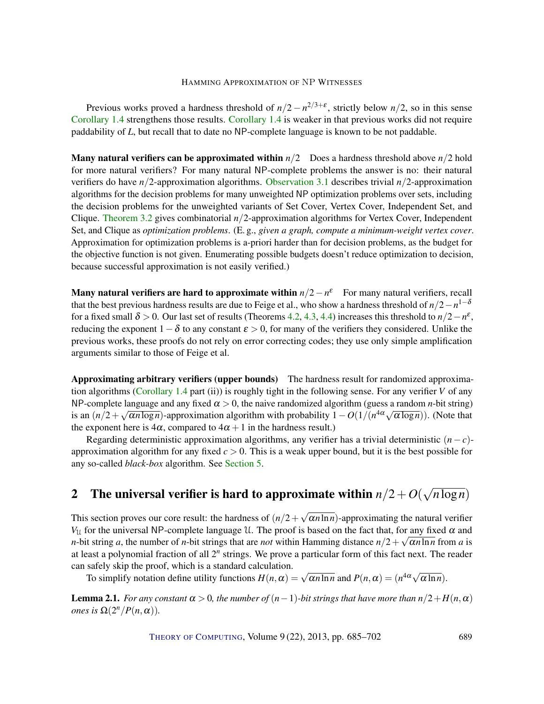Previous works proved a hardness threshold of  $n/2 - n^{2/3+\epsilon}$ , strictly below  $n/2$ , so in this sense [Corollary](#page-3-2) [1.4](#page-3-2) strengthens those results. [Corollary](#page-3-2) [1.4](#page-3-2) is weaker in that previous works did not require paddability of *L*, but recall that to date no NP-complete language is known to be not paddable.

**Many natural verifiers can be approximated within**  $n/2$  Does a hardness threshold above  $n/2$  hold for more natural verifiers? For many natural NP-complete problems the answer is no: their natural verifiers do have *n*/2-approximation algorithms. [Observation](#page-9-0) [3.1](#page-9-0) describes trivial *n*/2-approximation algorithms for the decision problems for many unweighted NP optimization problems over sets, including the decision problems for the unweighted variants of Set Cover, Vertex Cover, Independent Set, and Clique. [Theorem](#page-9-1) [3.2](#page-9-1) gives combinatorial *n*/2-approximation algorithms for Vertex Cover, Independent Set, and Clique as *optimization problems*. (E. g., *given a graph, compute a minimum-weight vertex cover*. Approximation for optimization problems is a-priori harder than for decision problems, as the budget for the objective function is not given. Enumerating possible budgets doesn't reduce optimization to decision, because successful approximation is not easily verified.)

**Many natural verifiers are hard to approximate within**  $n/2 - n^{\varepsilon}$  For many natural verifiers, recall that the best previous hardness results are due to Feige et al., who show a hardness threshold of  $n/2-n^{1-\delta}$ for a fixed small  $\delta > 0$ . Our last set of results (Theorems [4.2,](#page-11-0) [4.3,](#page-11-1) [4.4\)](#page-12-0) increases this threshold to  $n/2 - n^{\epsilon}$ , reducing the exponent  $1-\delta$  to any constant  $\varepsilon > 0$ , for many of the verifiers they considered. Unlike the previous works, these proofs do not rely on error correcting codes; they use only simple amplification arguments similar to those of Feige et al.

Approximating arbitrary verifiers (upper bounds) The hardness result for randomized approximation algorithms [\(Corollary](#page-3-2) [1.4](#page-3-2) part (ii)) is roughly tight in the following sense. For any verifier *V* of any NP-complete language and any fixed  $\alpha > 0$ , the naive randomized algorithm (guess a random *n*-bit string) is an  $(n/2 + \sqrt{\alpha n \log n})$ -approximation algorithm with probability  $1 - O(1/(n^{4\alpha} \sqrt{\alpha \log n}))$ . (Note that the exponent here is  $4\alpha$ , compared to  $4\alpha + 1$  in the hardness result.)

Regarding deterministic approximation algorithms, any verifier has a trivial deterministic  $(n-c)$ approximation algorithm for any fixed  $c > 0$ . This is a weak upper bound, but it is the best possible for any so-called *black-box* algorithm. See [Section](#page-14-0) [5.](#page-14-0)

#### 2 The universal verifier is hard to approximate within *n*/2+*O*( √ *n*log*n*)

This section proves our core result: the hardness of (*n*/2+ √ α*n*ln*n*)-approximating the natural verifier *V*<sub>U</sub> for the universal NP-complete language U. The proof is based on the fact that, for any fixed  $\alpha$  and *n*-bit string *a*, the number of *n*-bit strings that are *not* within Hamming distance  $n/2 + \sqrt{\alpha n \ln n}$  from *a* is at least a polynomial fraction of all 2<sup>n</sup> strings. We prove a particular form of this fact next. The reader can safely skip the proof, which is a standard calculation.

To simplify notation define utility functions  $H(n, \alpha) = \sqrt{\alpha n \ln n}$  and  $P(n, \alpha) = (n^{4\alpha}\sqrt{n})$  $\alpha$ ln*n*).

<span id="page-4-0"></span>**Lemma 2.1.** *For any constant*  $\alpha > 0$ *, the number of*  $(n-1)$ *-bit strings that have more than*  $n/2 + H(n, \alpha)$ *ones is*  $\Omega(2^n/P(n, \alpha)).$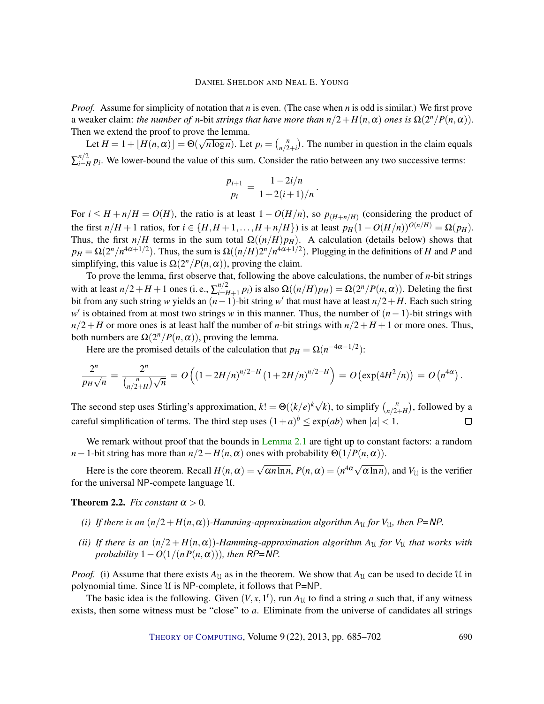*Proof.* Assume for simplicity of notation that *n* is even. (The case when *n* is odd is similar.) We first prove a weaker claim: *the number of n*-bit *strings that have more than*  $n/2 + H(n, \alpha)$  *ones is*  $\Omega(2^n/P(n, \alpha))$ . Then we extend the proof to prove the lemma. √

Let  $H = 1 + \lfloor H(n, \alpha) \rfloor = \Theta$ (  $\overline{n \log n}$ ). Let  $p_i = {n \choose n/2}$  $n \choose n/2+i$ . The number in question in the claim equals  $\sum_{i=L}^{n/2}$  $\int_{i=H}^{n/2} p_i$ . We lower-bound the value of this sum. Consider the ratio between any two successive terms:

$$
\frac{p_{i+1}}{p_i} = \frac{1 - 2i/n}{1 + 2(i+1)/n}
$$

.

For  $i \leq H + n/H = O(H)$ , the ratio is at least  $1 - O(H/n)$ , so  $p_{(H+n/H)}$  (considering the product of the first *n*/*H* + 1 ratios, for *i* ∈ {*H*,*H* + 1,...,*H* + *n*/*H*}) is at least  $p_H(1 - O(H/n))^{O(n/H)} = Ω(p_H)$ . Thus, the first  $n/H$  terms in the sum total  $\Omega((n/H)p_H)$ . A calculation (details below) shows that  $p_H = \Omega(2^n/n^{4\alpha+1/2})$ . Thus, the sum is  $\Omega((n/H)2^n/n^{4\alpha+1/2})$ . Plugging in the definitions of *H* and *P* and simplifying, this value is  $\Omega(2^n/P(n, \alpha))$ , proving the claim.

To prove the lemma, first observe that, following the above calculations, the number of *n*-bit strings with at least  $n/2+H+1$  ones (i. e.,  $\sum_{i=1}^{n/2}$  $\sum_{i=H+1}^{n/2} p_i$  is also  $\Omega((n/H)p_H) = \Omega(2^n/P(n, \alpha))$ . Deleting the first bit from any such string *w* yields an  $(n-1)$ -bit string *w*' that must have at least  $n/2 + H$ . Each such string *w*<sup>*'*</sup> is obtained from at most two strings *w* in this manner. Thus, the number of  $(n-1)$ -bit strings with  $n/2+H$  or more ones is at least half the number of *n*-bit strings with  $n/2+H+1$  or more ones. Thus, both numbers are  $\Omega(2^n/P(n, \alpha))$ , proving the lemma.

Here are the promised details of the calculation that  $p_H = \Omega(n^{-4\alpha - 1/2})$ :

$$
\frac{2^n}{p_H\sqrt{n}} = \frac{2^n}{\binom{n}{n/2+H}\sqrt{n}} = O\left((1-2H/n)^{n/2-H}(1+2H/n)^{n/2+H}\right) = O\left(\exp(4H^2/n)\right) = O\left(n^{4\alpha}\right).
$$

The second step uses Stirling's approximation,  $k! = \Theta((k/e)^k \sqrt{k}$  $\overline{k}$ ), to simplify  $\binom{n}{n/2}$  $\binom{n}{n/2+H}$ , followed by a careful simplification of terms. The third step uses  $(1+a)^b \leq \exp(ab)$  when  $|a| < 1$ .  $\Box$ 

We remark without proof that the bounds in [Lemma](#page-4-0) [2.1](#page-4-0) are tight up to constant factors: a random *n*−1-bit string has more than  $n/2 + H(n, \alpha)$  ones with probability  $\Theta(1/P(n, \alpha))$ .

Here is the core theorem. Recall  $H(n, \alpha) = \sqrt{\alpha n \ln n}$ ,  $P(n, \alpha) = (n^{4\alpha}\sqrt{n})$  $\alpha \ln n$ ), and  $V_{\mathcal{U}}$  is the verifier for the universal NP-compete language U.

<span id="page-5-0"></span>**Theorem 2.2.** *Fix constant*  $\alpha > 0$ *.* 

- *(i) If there is an*  $(n/2 + H(n, \alpha))$ *-Hamming-approximation algorithm A<sub>U</sub> for V<sub>U</sub>, then P=NP.*
- *(ii)* If there is an  $(n/2 + H(n, \alpha))$ -Hamming-approximation algorithm  $A_{\mathfrak{U}}$  for  $V_{\mathfrak{U}}$  that works with *probability*  $1 - O(1/(nP(n, \alpha)))$ *, then* RP=NP.

*Proof.* (i) Assume that there exists  $A_U$  as in the theorem. We show that  $A_U$  can be used to decide U in polynomial time. Since U is NP-complete, it follows that P=NP.

The basic idea is the following. Given  $(V, x, 1<sup>t</sup>)$ , run  $A<sub>U</sub>$  to find a string *a* such that, if any witness exists, then some witness must be "close" to *a*. Eliminate from the universe of candidates all strings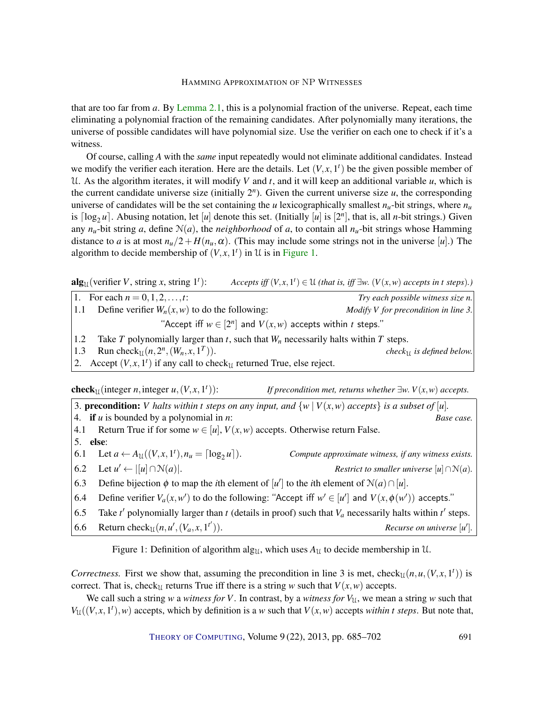that are too far from *a*. By [Lemma](#page-4-0) [2.1,](#page-4-0) this is a polynomial fraction of the universe. Repeat, each time eliminating a polynomial fraction of the remaining candidates. After polynomially many iterations, the universe of possible candidates will have polynomial size. Use the verifier on each one to check if it's a witness.

Of course, calling *A* with the *same* input repeatedly would not eliminate additional candidates. Instead we modify the verifier each iteration. Here are the details. Let  $(V, x, 1<sup>t</sup>)$  be the given possible member of U. As the algorithm iterates, it will modify  $V$  and  $t$ , and it will keep an additional variable  $u$ , which is the current candidate universe size (initially  $2<sup>n</sup>$ ). Given the current universe size  $u$ , the corresponding universe of candidates will be the set containing the *u* lexicographically smallest  $n_u$ -bit strings, where  $n_u$ is  $\lceil \log_2 u \rceil$ . Abusing notation, let  $\lceil u \rceil$  denote this set. (Initially  $\lceil u \rceil$  is  $\lceil 2^n \rceil$ , that is, all *n*-bit strings.) Given any  $n_u$ -bit string *a*, define  $N(a)$ , the *neighborhood* of *a*, to contain all  $n_u$ -bit strings whose Hamming distance to *a* is at most  $n_u/2 + H(n_u, \alpha)$ . (This may include some strings not in the universe [*u*].) The algorithm to decide membership of  $(V, x, 1<sup>t</sup>)$  in U is in [Figure](#page-6-0) [1.](#page-6-0)

 $\mathbf{alg}_{\mathcal{U}}(\text{verifier } V, \text{string } x, \text{string } \mathcal{U})$ : ): *Accepts iff*  $(V, x, 1<sup>t</sup>) ∈ U$  *(that is, iff* ∃*w.*  $(V(x, w)$  *accepts in t steps*).)

|                                                                  | 1. For each $n = 0, 1, 2, , t$ :                                                     | Try each possible witness size n.    |  |
|------------------------------------------------------------------|--------------------------------------------------------------------------------------|--------------------------------------|--|
| 1.1                                                              | Define verifier $W_n(x, w)$ to do the following:                                     | Modify V for precondition in line 3. |  |
| "Accept iff $w \in [2^n]$ and $V(x, w)$ accepts within t steps." |                                                                                      |                                      |  |
| 1.2                                                              | Take T polynomially larger than t, such that $W_n$ necessarily halts within T steps. |                                      |  |
| $\vert 1.3 \vert$                                                | Run check <sub>11</sub> $(n, 2^n, (W_n, x, 1^T))$ .                                  | check $_{1}$ is defined below.       |  |
|                                                                  | 2. Accept $(V, x, 1t)$ if any call to check <sub>U</sub> returned True, else reject. |                                      |  |

check<sub>U</sub>(integer *n*, integer *u*,  $(V, x, 1^t)$ *If precondition met, returns whether*  $\exists w$ . *V*( $x$ , $w$ ) *accepts.* 

3. **precondition:** *V* halts within t steps on any input, and  $\{w | V(x, w)$  accepts is a subset of [u]. 4. if *u* is bounded by a polynomial in *n*: *Base case.* 4.1 Return True if for some  $w \in [u]$ ,  $V(x, w)$  accepts. Otherwise return False. 5. else: 6.1 Let  $a \leftarrow A_{\mathcal{U}}((V, x, 1^t), n_u = \lceil \log_2 2 \rceil)$ *Compute approximate witness, if any witness exists.* 6.2 Let  $u' \leftarrow |[u] \cap \mathcal{N}(a)|$ . *Restrict to smaller universe*  $[u] \cap N(a)$ *.* 6.3 Define bijection  $\phi$  to map the *i*th element of  $[u']$  to the *i*th element of  $\mathcal{N}(a) \cap [u]$ . 6.4 Define verifier  $V_a(x, w')$  to do the following: "Accept iff  $w' \in [u']$  and  $V(x, \phi(w'))$  accepts." 6.5 Take  $t'$  polynomially larger than  $t$  (details in proof) such that  $V_a$  necessarily halts within  $t'$  steps.

6.6 Return check<sub>U</sub> $(n, u', (V_a, x, 1^{t'})$  $( |u'|)$ .

<span id="page-6-0"></span>Figure 1: Definition of algorithm alg<sub>11</sub>, which uses  $A_{11}$  to decide membership in U.

*Correctness.* First we show that, assuming the precondition in line 3 is met, check $u(n, u, (V, x, 1^t))$  is correct. That is, check<sub>U</sub> returns True iff there is a string *w* such that  $V(x, w)$  accepts.

We call such a string *w* a *witness for V*. In contrast, by a *witness for*  $V_{\mathcal{U}}$ , we mean a string *w* such that  $V_{\mathcal{U}}((V, x, 1^t), w)$  accepts, which by definition is a *w* such that  $V(x, w)$  accepts *within t steps*. But note that,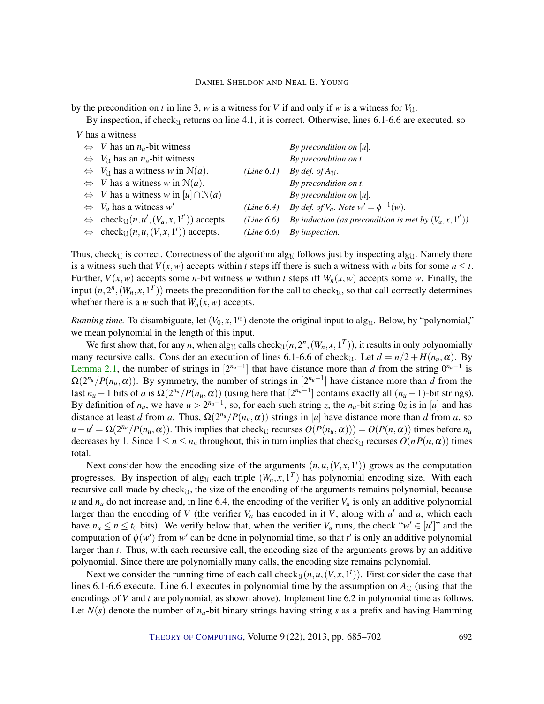by the precondition on *t* in line 3, *w* is a witness for *V* if and only if *w* is a witness for  $V_{\text{U}}$ .

By inspection, if check<sub>U</sub> returns on line 4.1, it is correct. Otherwise, lines 6.1-6.6 are executed, so

|                   | V has a witness                                                          |            |                                                               |
|-------------------|--------------------------------------------------------------------------|------------|---------------------------------------------------------------|
|                   | $\Leftrightarrow$ V has an $n_u$ -bit witness                            |            | By precondition on $[u]$ .                                    |
|                   | $\Leftrightarrow$ $V_{\text{U}}$ has an $n_{\text{U}}$ -bit witness      |            | By precondition on t.                                         |
|                   | $\Leftrightarrow$ $V_{11}$ has a witness w in $\mathcal{N}(a)$ .         | (Line 6.1) | By def. of $A_{11}$ .                                         |
|                   | $\Leftrightarrow$ V has a witness w in $\mathcal{N}(a)$ .                |            | By precondition on t.                                         |
|                   | $\Leftrightarrow$ V has a witness w in $[u] \cap N(a)$                   |            | By precondition on $[u]$ .                                    |
|                   | $\Leftrightarrow$ $V_a$ has a witness w'                                 | (Line 6.4) | By def. of $V_a$ . Note $w' = \phi^{-1}(w)$ .                 |
|                   | $\Leftrightarrow$ check <sub>U</sub> $(n, u', (V_a, x, 1^{t'}))$ accepts | (Line 6.6) | By induction (as precondition is met by $(V_a, x, 1^{t'})$ ). |
| $\Leftrightarrow$ | check <sub>11</sub> $(n, u, (V, x, 1^t))$ accepts.                       | (Line 6.6) | By inspection.                                                |

Thus, check<sub>U</sub> is correct. Correctness of the algorithm alg<sub>U</sub> follows just by inspecting alg<sub>U</sub>. Namely there is a witness such that  $V(x, w)$  accepts within *t* steps iff there is such a witness with *n* bits for some  $n \le t$ . Further,  $V(x, w)$  accepts some *n*-bit witness *w* within *t* steps iff  $W_n(x, w)$  accepts some *w*. Finally, the input  $(n, 2^n, (W_n, x, 1^T))$  meets the precondition for the call to check<sub>U</sub>, so that call correctly determines whether there is a *w* such that  $W_n(x, w)$  accepts.

*Running time.* To disambiguate, let  $(V_0, x, 1^{t_0})$  denote the original input to alg<sub>U</sub>. Below, by "polynomial," we mean polynomial in the length of this input.

We first show that, for any *n*, when alg<sub>U</sub> calls check $u(n, 2^n, (W_n, x, 1^T))$ , it results in only polynomially many recursive calls. Consider an execution of lines 6.1-6.6 of check<sub>U</sub>. Let  $d = n/2 + H(n<sub>u</sub>, \alpha)$ . By [Lemma](#page-4-0) [2.1,](#page-4-0) the number of strings in  $[2^{n_u-1}]$  that have distance more than *d* from the string  $0^{n_u-1}$  is  $\Omega(2^{n_u}/P(n_u, \alpha))$ . By symmetry, the number of strings in  $[2^{n_u-1}]$  have distance more than *d* from the last  $n_u - 1$  bits of *a* is  $\Omega(2^{n_u}/P(n_u, \alpha))$  (using here that  $[2^{n_u-1}]$  contains exactly all  $(n_u - 1)$ -bit strings). By definition of  $n_u$ , we have  $u > 2^{n_u-1}$ , so, for each such string *z*, the  $n_u$ -bit string 0*z* is in [*u*] and has distance at least *d* from *a*. Thus,  $\Omega(2^{n_u}/P(n_u, \alpha))$  strings in [*u*] have distance more than *d* from *a*, so  $u - u' = \Omega(2^{n_u}/P(n_u, \alpha))$ . This implies that check<sub>U</sub> recurses  $O(P(n_u, \alpha))) = O(P(n, \alpha))$  times before  $n_u$ decreases by 1. Since  $1 \le n \le n_u$  throughout, this in turn implies that check<sub>U</sub> recurses  $O(nP(n, \alpha))$  times total.

Next consider how the encoding size of the arguments  $(n, u, (V, x, 1^t))$  grows as the computation progresses. By inspection of alg<sub>U</sub> each triple  $(W_n, x, 1^T)$  has polynomial encoding size. With each recursive call made by check $<sub>U</sub>$ , the size of the encoding of the arguments remains polynomial, because</sub> *u* and  $n_u$  do not increase and, in line 6.4, the encoding of the verifier  $V_a$  is only an additive polynomial larger than the encoding of *V* (the verifier  $V_a$  has encoded in it *V*, along with  $u'$  and  $a$ , which each have  $n_u \le n \le t_0$  bits). We verify below that, when the verifier  $V_a$  runs, the check " $w' \in [u']$ " and the computation of  $\phi(w')$  from w' can be done in polynomial time, so that *t'* is only an additive polynomial larger than *t*. Thus, with each recursive call, the encoding size of the arguments grows by an additive polynomial. Since there are polynomially many calls, the encoding size remains polynomial.

Next we consider the running time of each call check $u(n, u, (V, x, 1^t))$ . First consider the case that lines 6.1-6.6 execute. Line 6.1 executes in polynomial time by the assumption on  $A_{\mathcal{U}}$  (using that the encodings of *V* and *t* are polynomial, as shown above). Implement line 6.2 in polynomial time as follows. Let  $N(s)$  denote the number of  $n_u$ -bit binary strings having string *s* as a prefix and having Hamming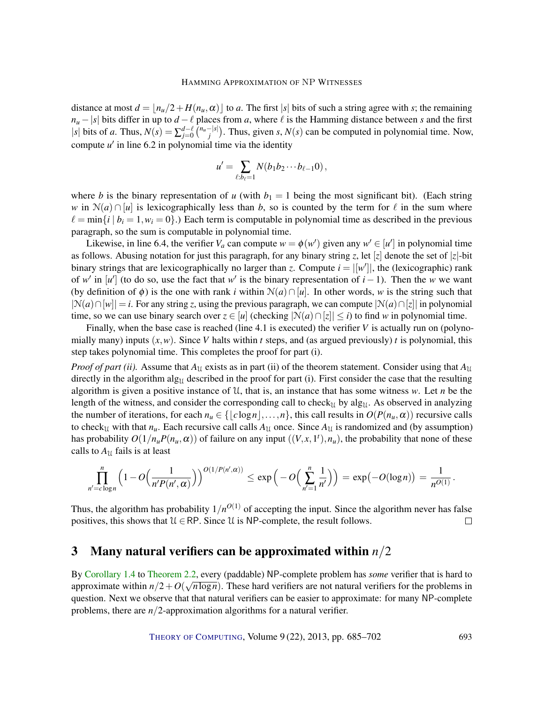distance at most  $d = |n_u/2 + H(n_u, \alpha)|$  to *a*. The first |*s*| bits of such a string agree with *s*; the remaining  $n_u - |s|$  bits differ in up to  $d - \ell$  places from *a*, where  $\ell$  is the Hamming distance between *s* and the first |*s*| bits of *a*. Thus,  $N(s) = \sum_{j=0}^{d-\ell} {n \choose j}$ . Thus, given *s*,  $N(s)$  can be computed in polynomial time. Now, compute  $u'$  in line 6.2 in polynomial time via the identity

$$
u'=\sum_{\ell:b_{\ell}=1}N(b_1b_2\cdots b_{\ell-1}0),
$$

where *b* is the binary representation of *u* (with  $b_1 = 1$  being the most significant bit). (Each string *w* in  $\mathcal{N}(a) \cap [u]$  is lexicographically less than *b*, so is counted by the term for  $\ell$  in the sum where  $\ell = \min\{i | b_i = 1, w_i = 0\}$ .) Each term is computable in polynomial time as described in the previous paragraph, so the sum is computable in polynomial time.

Likewise, in line 6.4, the verifier  $V_a$  can compute  $w = \phi(w')$  given any  $w' \in [u']$  in polynomial time as follows. Abusing notation for just this paragraph, for any binary string *z*, let  $[z]$  denote the set of  $|z|$ -bit binary strings that are lexicographically no larger than *z*. Compute  $i = |w'|$ , the (lexicographic) rank of *w'* in [*u'*] (to do so, use the fact that *w'* is the binary representation of  $i - 1$ ). Then the *w* we want (by definition of  $\phi$ ) is the one with rank *i* within  $\mathcal{N}(a) \cap [u]$ . In other words, *w* is the string such that  $|N(a) ∩ [w]| = i$ . For any string *z*, using the previous paragraph, we can compute  $|N(a) ∩ [z]|$  in polynomial time, so we can use binary search over  $z \in [u]$  (checking  $|\mathcal{N}(a) \cap [z]| \leq i$ ) to find *w* in polynomial time.

Finally, when the base case is reached (line 4.1 is executed) the verifier *V* is actually run on (polynomially many) inputs  $(x, w)$ . Since V halts within *t* steps, and (as argued previously) *t* is polynomial, this step takes polynomial time. This completes the proof for part (i).

*Proof of part (ii).* Assume that  $A_U$  exists as in part (ii) of the theorem statement. Consider using that  $A_U$ directly in the algorithm alg<sub>U</sub> described in the proof for part (i). First consider the case that the resulting algorithm is given a positive instance of U, that is, an instance that has some witness *w*. Let *n* be the length of the witness, and consider the corresponding call to check<sub>U</sub> by alg<sub>U</sub>. As observed in analyzing the number of iterations, for each  $n_u \in \{ |c \log n|, \ldots, n \}$ , this call results in  $O(P(n_u, \alpha))$  recursive calls to check<sub>U</sub> with that  $n_u$ . Each recursive call calls  $A_U$  once. Since  $A_U$  is randomized and (by assumption) has probability  $O(1/n_u P(n_u, \alpha))$  of failure on any input  $((V, x, 1^t), n_u)$ , the probability that none of these calls to  $A_{\mathcal{U}}$  fails is at least

$$
\prod_{n' = c \log n}^{n} \left(1 - O\left(\frac{1}{n' P(n',\alpha)}\right)\right)^{O(1/P(n',\alpha))} \le \exp\left(-O\left(\sum_{n' = 1}^{n} \frac{1}{n'}\right)\right) = \exp(-O(\log n)) = \frac{1}{n^{O(1)}}.
$$

Thus, the algorithm has probability  $1/n^{O(1)}$  of accepting the input. Since the algorithm never has false positives, this shows that  $U \in \mathsf{RP}$ . Since U is NP-complete, the result follows.  $\Box$ 

# 3 Many natural verifiers can be approximated within *n*/2

By [Corollary](#page-3-2) [1.4](#page-3-2) to [Theorem](#page-5-0) [2.2,](#page-5-0) every (paddable) NP-complete problem has *some* verifier that is hard to approximate within  $n/2+O(\sqrt{n\log n})$ . These hard verifiers are not natural verifiers for the problems in question. Next we observe that that natural verifiers can be easier to approximate: for many NP-complete problems, there are *n*/2-approximation algorithms for a natural verifier.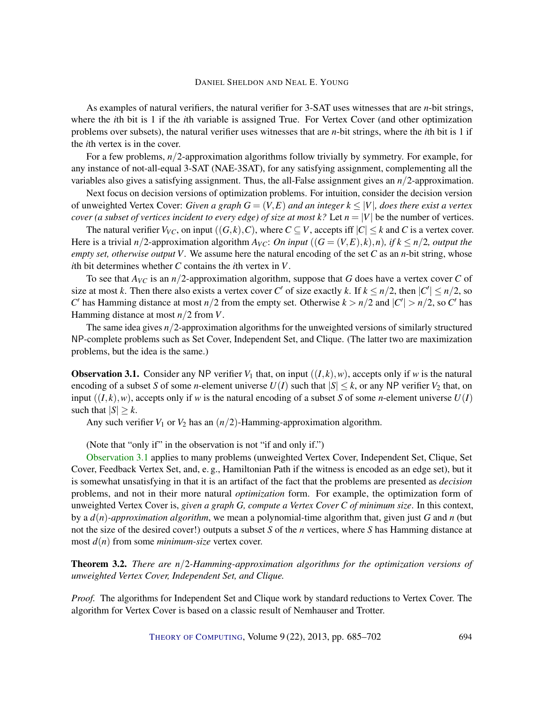As examples of natural verifiers, the natural verifier for 3-SAT uses witnesses that are *n*-bit strings, where the *i*th bit is 1 if the *i*th variable is assigned True. For Vertex Cover (and other optimization problems over subsets), the natural verifier uses witnesses that are *n*-bit strings, where the *i*th bit is 1 if the *i*th vertex is in the cover.

For a few problems, *n*/2-approximation algorithms follow trivially by symmetry. For example, for any instance of not-all-equal 3-SAT (NAE-3SAT), for any satisfying assignment, complementing all the variables also gives a satisfying assignment. Thus, the all-False assignment gives an *n*/2-approximation.

Next focus on decision versions of optimization problems. For intuition, consider the decision version of unweighted Vertex Cover: *Given a graph*  $G = (V, E)$  *and an integer*  $k \leq |V|$ *, does there exist a vertex cover (a subset of vertices incident to every edge) of size at most k? Let*  $n = |V|$  *be the number of vertices.* 

The natural verifier  $V_{VC}$ , on input  $((G, k), C)$ , where  $C \subseteq V$ , accepts iff  $|C| \leq k$  and *C* is a vertex cover. Here is a trivial  $n/2$ -approximation algorithm  $A_{VC}$ : *On input*  $((G = (V, E), k), n)$ *, if*  $k \leq n/2$ *, output the empty set, otherwise output V.* We assume here the natural encoding of the set *C* as an *n*-bit string, whose *i*th bit determines whether *C* contains the *i*th vertex in *V*.

To see that *AVC* is an *n*/2-approximation algorithm, suppose that *G* does have a vertex cover *C* of size at most *k*. Then there also exists a vertex cover *C'* of size exactly *k*. If  $k \leq n/2$ , then  $|C'| \leq n/2$ , so *C*<sup> $\prime$ </sup> has Hamming distance at most  $n/2$  from the empty set. Otherwise  $k > n/2$  and  $|C'| > n/2$ , so *C*<sup> $\prime$ </sup> has Hamming distance at most *n*/2 from *V*.

The same idea gives *n*/2-approximation algorithms for the unweighted versions of similarly structured NP-complete problems such as Set Cover, Independent Set, and Clique. (The latter two are maximization problems, but the idea is the same.)

<span id="page-9-0"></span>**Observation 3.1.** Consider any NP verifier  $V_1$  that, on input  $((I, k), w)$ , accepts only if *w* is the natural encoding of a subset *S* of some *n*-element universe  $U(I)$  such that  $|S| \leq k$ , or any NP verifier  $V_2$  that, on input  $((I, k), w)$ , accepts only if *w* is the natural encoding of a subset *S* of some *n*-element universe  $U(I)$ such that  $|S| \geq k$ .

Any such verifier  $V_1$  or  $V_2$  has an  $(n/2)$ -Hamming-approximation algorithm.

(Note that "only if" in the observation is not "if and only if.")

[Observation](#page-9-0) [3.1](#page-9-0) applies to many problems (unweighted Vertex Cover, Independent Set, Clique, Set Cover, Feedback Vertex Set, and, e. g., Hamiltonian Path if the witness is encoded as an edge set), but it is somewhat unsatisfying in that it is an artifact of the fact that the problems are presented as *decision* problems, and not in their more natural *optimization* form. For example, the optimization form of unweighted Vertex Cover is, *given a graph G, compute a Vertex Cover C of minimum size*. In this context, by a *d*(*n*)*-approximation algorithm*, we mean a polynomial-time algorithm that, given just *G* and *n* (but not the size of the desired cover!) outputs a subset *S* of the *n* vertices, where *S* has Hamming distance at most *d*(*n*) from some *minimum-size* vertex cover.

<span id="page-9-1"></span>Theorem 3.2. *There are n*/2*-Hamming-approximation algorithms for the optimization versions of unweighted Vertex Cover, Independent Set, and Clique.*

*Proof.* The algorithms for Independent Set and Clique work by standard reductions to Vertex Cover. The algorithm for Vertex Cover is based on a classic result of Nemhauser and Trotter.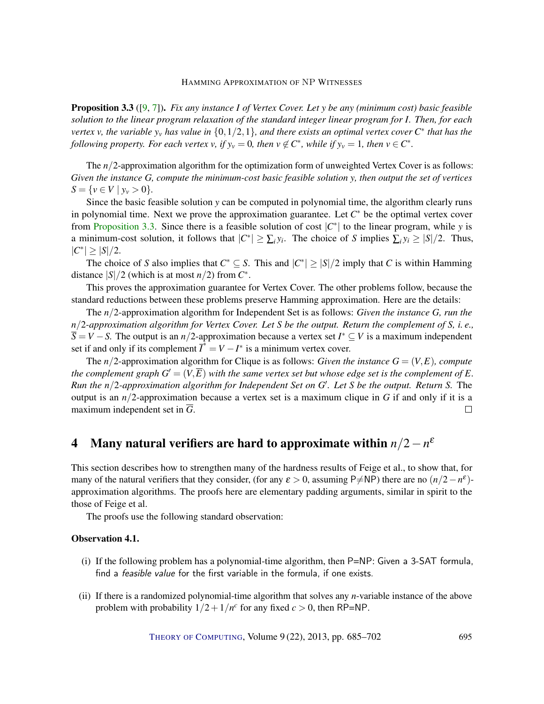<span id="page-10-2"></span><span id="page-10-0"></span>Proposition 3.3 ([\[9,](#page-16-4) [7\]](#page-15-6)). *Fix any instance I of Vertex Cover. Let y be any (minimum cost) basic feasible solution to the linear program relaxation of the standard integer linear program for I. Then, for each vertex v*, the variable  $y_y$  has value in  $\{0, 1/2, 1\}$ , and there exists an optimal vertex cover  $C^*$  that has the *following property. For each vertex v, if*  $y_v = 0$ *, then*  $v \notin C^*$ *, while if*  $y_v = 1$ *, then*  $v \in C^*$ *.* 

The *n*/2-approximation algorithm for the optimization form of unweighted Vertex Cover is as follows: *Given the instance G, compute the minimum-cost basic feasible solution y, then output the set of vertices*  $S = \{v \in V \mid y_v > 0\}.$ 

Since the basic feasible solution *y* can be computed in polynomial time, the algorithm clearly runs in polynomial time. Next we prove the approximation guarantee. Let  $C^*$  be the optimal vertex cover from [Proposition](#page-10-0) [3.3.](#page-10-0) Since there is a feasible solution of cost  $|C^*|$  to the linear program, while *y* is a minimum-cost solution, it follows that  $|C^*| \ge \sum_i y_i$ . The choice of *S* implies  $\sum_i y_i \ge |S|/2$ . Thus,  $|C^*| \ge |S|/2.$ 

The choice of *S* also implies that  $C^* \subseteq S$ . This and  $|C^*| \geq |S|/2$  imply that *C* is within Hamming distance  $|S|/2$  (which is at most  $n/2$ ) from  $C^*$ .

This proves the approximation guarantee for Vertex Cover. The other problems follow, because the standard reductions between these problems preserve Hamming approximation. Here are the details:

The *n*/2-approximation algorithm for Independent Set is as follows: *Given the instance G, run the n*/2*-approximation algorithm for Vertex Cover. Let S be the output. Return the complement of S, i. e., S* = *V* −*S.* The output is an *n*/2-approximation because a vertex set *I* <sup>∗</sup> ⊆ *V* is a maximum independent set if and only if its complement  $\overline{I}^* = V - I^*$  is a minimum vertex cover.

The  $n/2$ -approximation algorithm for Clique is as follows: *Given the instance*  $G = (V, E)$ *, compute the complement graph*  $G' = (V, \overline{E})$  *with the same vertex set but whose edge set is the complement of*  $E$ . *Run the n*/2*-approximation algorithm for Independent Set on G* 0 *. Let S be the output. Return S.* The output is an *n*/2-approximation because a vertex set is a maximum clique in *G* if and only if it is a maximum independent set in  $\overline{G}$ .  $\Box$ 

# 4 Many natural verifiers are hard to approximate within *n*/2−*n* ε

This section describes how to strengthen many of the hardness results of Feige et al., to show that, for many of the natural verifiers that they consider, (for any  $\varepsilon > 0$ , assuming P $\neq$ NP) there are no  $(n/2 - n^{\varepsilon})$ approximation algorithms. The proofs here are elementary padding arguments, similar in spirit to the those of Feige et al.

The proofs use the following standard observation:

### <span id="page-10-1"></span>Observation 4.1.

- (i) If the following problem has a polynomial-time algorithm, then P=NP: Given a 3-SAT formula, find a *feasible value* for the first variable in the formula, if one exists.
- (ii) If there is a randomized polynomial-time algorithm that solves any *n*-variable instance of the above problem with probability  $1/2 + 1/n^c$  for any fixed  $c > 0$ , then RP=NP.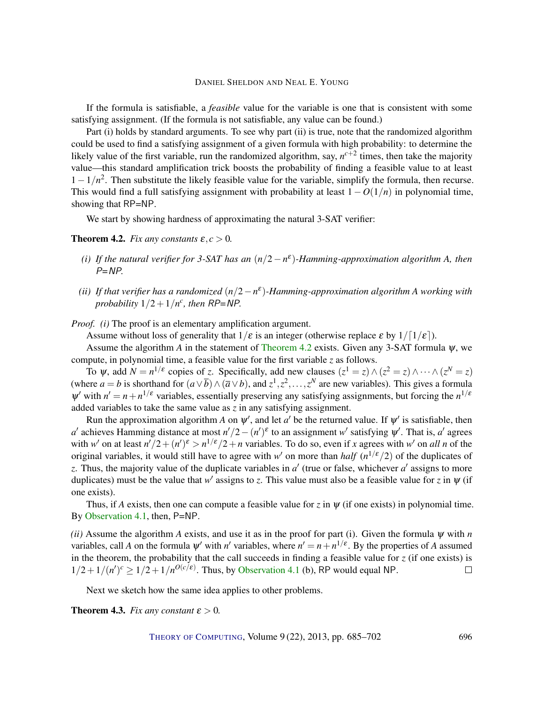If the formula is satisfiable, a *feasible* value for the variable is one that is consistent with some satisfying assignment. (If the formula is not satisfiable, any value can be found.)

Part (i) holds by standard arguments. To see why part (ii) is true, note that the randomized algorithm could be used to find a satisfying assignment of a given formula with high probability: to determine the likely value of the first variable, run the randomized algorithm, say,  $n^{c+2}$  times, then take the majority value—this standard amplification trick boosts the probability of finding a feasible value to at least  $1-1/n^2$ . Then substitute the likely feasible value for the variable, simplify the formula, then recurse. This would find a full satisfying assignment with probability at least  $1 - O(1/n)$  in polynomial time, showing that RP=NP.

We start by showing hardness of approximating the natural 3-SAT verifier:

### <span id="page-11-0"></span>**Theorem 4.2.** *Fix any constants*  $\varepsilon, c > 0$ .

- (*i*) If the natural verifier for 3-SAT has an  $(n/2 n^{\epsilon})$ -Hamming-approximation algorithm A, then P*=*NP*.*
- *(ii) If that verifier has a randomized* (*n*/2−*n* ε )*-Hamming-approximation algorithm A working with* probability  $1/2 + 1/n^c$ , then  $RP = NP$ .

*Proof. (i)* The proof is an elementary amplification argument.

Assume without loss of generality that  $1/\varepsilon$  is an integer (otherwise replace  $\varepsilon$  by  $1/[1/\varepsilon]$ ).

Assume the algorithm *A* in the statement of [Theorem](#page-11-0) [4.2](#page-11-0) exists. Given any 3-SAT formula  $\psi$ , we compute, in polynomial time, a feasible value for the first variable *z* as follows.

To  $\psi$ , add  $N = n^{1/\varepsilon}$  copies of *z*. Specifically, add new clauses  $(z^1 = z) \wedge (z^2 = z) \wedge \cdots \wedge (z^N = z)$ (where  $a = b$  is shorthand for  $(a \vee \overline{b}) \wedge (\overline{a} \vee b)$ , and  $z^1, z^2, \ldots, z^N$  are new variables). This gives a formula  $\psi'$  with  $n' = n + n^{1/\varepsilon}$  variables, essentially preserving any satisfying assignments, but forcing the  $n^{1/\varepsilon}$ added variables to take the same value as *z* in any satisfying assignment.

Run the approximation algorithm *A* on  $\psi'$ , and let *a'* be the returned value. If  $\psi'$  is satisfiable, then *a*<sup> $d$ </sup> achieves Hamming distance at most  $n'/2 - (n')<sup>ε</sup>$  to an assignment *w*<sup> $\prime$ </sup> satisfying  $ψ'$ . That is, *a*<sup> $\prime$ </sup> agrees with w' on at least  $n'/2 + (n')^{\varepsilon} > n^{1/\varepsilon}/2 + n$  variables. To do so, even if *x* agrees with w' on *all n* of the original variables, it would still have to agree with  $w'$  on more than *half*  $(n^{1/\epsilon}/2)$  of the duplicates of z. Thus, the majority value of the duplicate variables in  $a'$  (true or false, whichever  $a'$  assigns to more duplicates) must be the value that  $w'$  assigns to *z*. This value must also be a feasible value for *z* in  $\psi$  (if one exists).

Thus, if *A* exists, then one can compute a feasible value for *z* in  $\psi$  (if one exists) in polynomial time. By [Observation](#page-10-1) [4.1,](#page-10-1) then, P=NP.

*(ii)* Assume the algorithm *A* exists, and use it as in the proof for part (i). Given the formula  $\psi$  with *n* variables, call *A* on the formula  $\psi'$  with *n'* variables, where  $n' = n + n^{1/\epsilon}$ . By the properties of *A* assumed in the theorem, the probability that the call succeeds in finding a feasible value for *z* (if one exists) is  $1/2+1/(n')^c \geq 1/2+1/n^{O(c/\epsilon)}$ . Thus, by [Observation](#page-10-1) [4.1](#page-10-1) (b), RP would equal NP.  $\Box$ 

Next we sketch how the same idea applies to other problems.

<span id="page-11-1"></span>**Theorem 4.3.** *Fix any constant*  $\varepsilon > 0$ *.*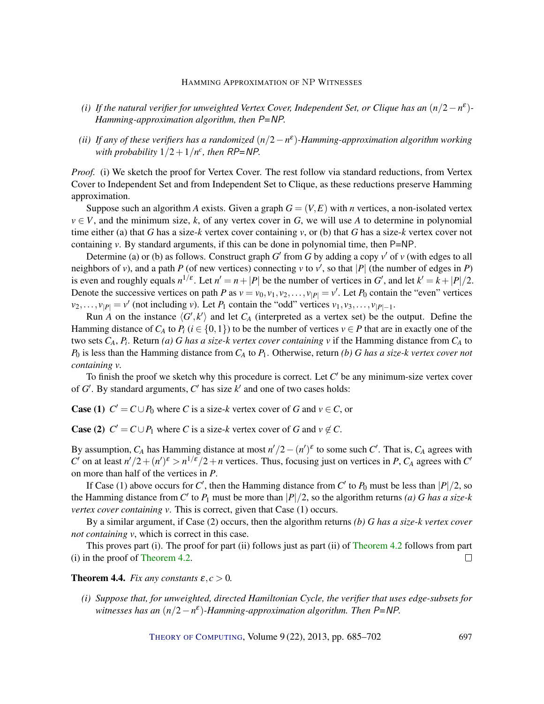- *(i)* If the natural verifier for unweighted Vertex Cover, Independent Set, or Clique has an  $(n/2 n^{\varepsilon})$ -*Hamming-approximation algorithm, then* P*=*NP*.*
- *(ii) If any of these verifiers has a randomized* (*n*/2−*n* ε )*-Hamming-approximation algorithm working with probability*  $1/2 + 1/n^c$ , then  $RP = NP$ .

*Proof.* (i) We sketch the proof for Vertex Cover. The rest follow via standard reductions, from Vertex Cover to Independent Set and from Independent Set to Clique, as these reductions preserve Hamming approximation.

Suppose such an algorithm *A* exists. Given a graph  $G = (V, E)$  with *n* vertices, a non-isolated vertex  $v \in V$ , and the minimum size, *k*, of any vertex cover in *G*, we will use *A* to determine in polynomial time either (a) that *G* has a size-*k* vertex cover containing *v*, or (b) that *G* has a size-*k* vertex cover not containing *v*. By standard arguments, if this can be done in polynomial time, then P=NP.

Determine (a) or (b) as follows. Construct graph  $G'$  from  $G$  by adding a copy  $v'$  of  $v$  (with edges to all neighbors of *v*), and a path *P* (of new vertices) connecting *v* to *v'*, so that |*P*| (the number of edges in *P*) is even and roughly equals  $n^{1/\epsilon}$ . Let  $n' = n + |P|$  be the number of vertices in *G'*, and let  $k' = k + |P|/2$ . Denote the successive vertices on path *P* as  $v = v_0, v_1, v_2, \dots, v_{|P|} = v'$ . Let  $P_0$  contain the "even" vertices  $v_2, \ldots, v_{|P|} = v'$  (not including *v*). Let *P*<sub>1</sub> contain the "odd" vertices  $v_1, v_3, \ldots, v_{|P|-1}$ .

Run *A* on the instance  $\langle G', k' \rangle$  and let  $C_A$  (interpreted as a vertex set) be the output. Define the Hamming distance of  $C_A$  to  $P_i$  ( $i \in \{0,1\}$ ) to be the number of vertices  $v \in P$  that are in exactly one of the two sets *CA*, *P<sup>i</sup>* . Return *(a) G has a size-k vertex cover containing v* if the Hamming distance from *C<sup>A</sup>* to *P*<sup>0</sup> is less than the Hamming distance from *C<sup>A</sup>* to *P*1. Otherwise, return *(b) G has a size-k vertex cover not containing v.*

To finish the proof we sketch why this procedure is correct. Let  $C'$  be any minimum-size vertex cover of  $G'$ . By standard arguments,  $C'$  has size  $k'$  and one of two cases holds:

**Case (1)**  $C' = C \cup P_0$  where *C* is a size-*k* vertex cover of *G* and  $v \in C$ , or

**Case** (2)  $C' = C \cup P_1$  where *C* is a size-*k* vertex cover of *G* and  $v \notin C$ .

By assumption,  $C_A$  has Hamming distance at most  $n'/2 - (n')^{\varepsilon}$  to some such  $C'$ . That is,  $C_A$  agrees with *C*<sup> $\prime$ </sup> on at least  $n'/2 + (n')^{\varepsilon} > n^{1/\varepsilon}/2 + n$  vertices. Thus, focusing just on vertices in *P*, *C<sub>A</sub>* agrees with *C*<sup> $\prime$ </sup> on more than half of the vertices in *P*.

If Case (1) above occurs for *C*<sup> $\prime$ </sup>, then the Hamming distance from *C*<sup> $\prime$ </sup> to  $P_0$  must be less than  $|P|/2$ , so the Hamming distance from C' to  $P_1$  must be more than  $|P|/2$ , so the algorithm returns *(a) G has a size-k vertex cover containing v*. This is correct, given that Case (1) occurs.

By a similar argument, if Case (2) occurs, then the algorithm returns *(b) G has a size-k vertex cover not containing v*, which is correct in this case.

This proves part (i). The proof for part (ii) follows just as part (ii) of [Theorem](#page-11-0) [4.2](#page-11-0) follows from part  $\Box$ (i) in the proof of [Theorem](#page-11-0) [4.2.](#page-11-0)

<span id="page-12-0"></span>**Theorem 4.4.** *Fix any constants*  $\varepsilon, c > 0$ *.* 

*(i) Suppose that, for unweighted, directed Hamiltonian Cycle, the verifier that uses edge-subsets for witnesses has an*  $(n/2 - n^{\varepsilon})$ *-Hamming-approximation algorithm. Then*  $P=NP$ *.*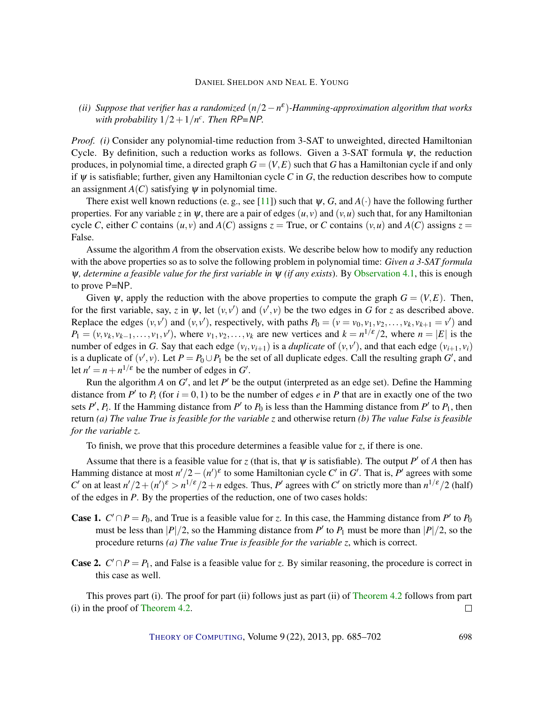# <span id="page-13-0"></span>*(ii)* Suppose that verifier has a randomized  $(n/2 - n^{\epsilon})$ -Hamming-approximation algorithm that works *with probability*  $1/2 + 1/n^c$ *. Then RP=NP.*

*Proof. (i)* Consider any polynomial-time reduction from 3-SAT to unweighted, directed Hamiltonian Cycle. By definition, such a reduction works as follows. Given a 3-SAT formula  $\psi$ , the reduction produces, in polynomial time, a directed graph  $G = (V, E)$  such that *G* has a Hamiltonian cycle if and only if  $\psi$  is satisfiable; further, given any Hamiltonian cycle *C* in *G*, the reduction describes how to compute an assignment  $A(C)$  satisfying  $\psi$  in polynomial time.

There exist well known reductions (e. g., see [\[11\]](#page-16-5)) such that  $\psi$ , *G*, and  $A(\cdot)$  have the following further properties. For any variable *z* in  $\psi$ , there are a pair of edges  $(u, v)$  and  $(v, u)$  such that, for any Hamiltonian cycle *C*, either *C* contains  $(u, v)$  and  $A(C)$  assigns  $z = True$ , or *C* contains  $(v, u)$  and  $A(C)$  assigns  $z =$ False.

Assume the algorithm *A* from the observation exists. We describe below how to modify any reduction with the above properties so as to solve the following problem in polynomial time: *Given a 3-SAT formula* ψ*, determine a feasible value for the first variable in* ψ *(if any exists*). By [Observation](#page-10-1) [4.1,](#page-10-1) this is enough to prove P=NP.

Given  $\psi$ , apply the reduction with the above properties to compute the graph  $G = (V, E)$ . Then, for the first variable, say, *z* in  $\psi$ , let  $(v, v')$  and  $(v', v)$  be the two edges in *G* for *z* as described above. Replace the edges  $(v, v')$  and  $(v, v')$ , respectively, with paths  $P_0 = (v = v_0, v_1, v_2, \dots, v_k, v_{k+1} = v')$  and  $P_1 = (v, v_k, v_{k-1}, \ldots, v_1, v')$ , where  $v_1, v_2, \ldots, v_k$  are new vertices and  $k = n^{1/\varepsilon}/2$ , where  $n = |E|$  is the number of edges in *G*. Say that each edge  $(v_i, v_{i+1})$  is a *duplicate* of  $(v, v')$ , and that each edge  $(v_{i+1}, v_i)$ is a duplicate of  $(v', v)$ . Let  $P = P_0 \cup P_1$  be the set of all duplicate edges. Call the resulting graph *G'*, and let  $n' = n + n^{1/\varepsilon}$  be the number of edges in *G'*.

Run the algorithm  $A$  on  $G'$ , and let  $P'$  be the output (interpreted as an edge set). Define the Hamming distance from  $P'$  to  $P_i$  (for  $i = 0, 1$ ) to be the number of edges  $e$  in  $P$  that are in exactly one of the two sets  $P'$ ,  $P_i$ . If the Hamming distance from  $P'$  to  $P_0$  is less than the Hamming distance from  $P'$  to  $P_1$ , then return *(a) The value True is feasible for the variable z* and otherwise return *(b) The value False is feasible for the variable z*.

To finish, we prove that this procedure determines a feasible value for *z*, if there is one.

Assume that there is a feasible value for *z* (that is, that  $\psi$  is satisfiable). The output  $P'$  of *A* then has Hamming distance at most  $n'/2 - (n')^{\varepsilon}$  to some Hamiltonian cycle *C'* in *G'*. That is, *P'* agrees with some *C*<sup> $\prime$ </sup> on at least  $n'/2 + (n')^{\epsilon} > n^{1/\epsilon}/2 + n$  edges. Thus, *P*<sup> $\prime$ </sup> agrees with *C*<sup> $\prime$ </sup> on strictly more than  $n^{1/\epsilon}/2$  (half) of the edges in *P*. By the properties of the reduction, one of two cases holds:

- **Case 1.**  $C' \cap P = P_0$ , and True is a feasible value for *z*. In this case, the Hamming distance from P' to  $P_0$ must be less than  $|P|/2$ , so the Hamming distance from  $P'$  to  $P_1$  must be more than  $|P|/2$ , so the procedure returns *(a) The value True is feasible for the variable z*, which is correct.
- **Case 2.**  $C' \cap P = P_1$ , and False is a feasible value for *z*. By similar reasoning, the procedure is correct in this case as well.

This proves part (i). The proof for part (ii) follows just as part (ii) of [Theorem](#page-11-0) [4.2](#page-11-0) follows from part (i) in the proof of [Theorem](#page-11-0) [4.2.](#page-11-0)  $\Box$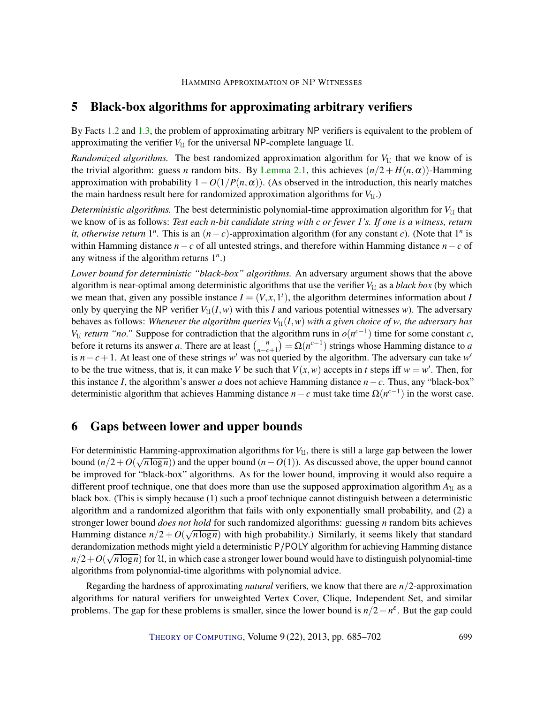# <span id="page-14-0"></span>5 Black-box algorithms for approximating arbitrary verifiers

By Facts [1.2](#page-3-0) and [1.3,](#page-3-1) the problem of approximating arbitrary NP verifiers is equivalent to the problem of approximating the verifier  $V_{\mathcal{U}}$  for the universal NP-complete language  $\mathcal{U}$ .

*Randomized algorithms.* The best randomized approximation algorithm for  $V_{\mathcal{U}}$  that we know of is the trivial algorithm: guess *n* random bits. By [Lemma](#page-4-0) [2.1,](#page-4-0) this achieves  $(n/2 + H(n, \alpha))$ -Hamming approximation with probability  $1 - O(1/P(n, \alpha))$ . (As observed in the introduction, this nearly matches the main hardness result here for randomized approximation algorithms for  $V_{\mathfrak{U}}$ .)

*Deterministic algorithms.* The best deterministic polynomial-time approximation algorithm for  $V_{\mathfrak{U}}$  that we know of is as follows: *Test each n-bit candidate string with c or fewer 1's. If one is a witness, return it, otherwise return*  $1^n$ . This is an  $(n-c)$ -approximation algorithm (for any constant *c*). (Note that  $1^n$  is within Hamming distance *n*−*c* of all untested strings, and therefore within Hamming distance *n*−*c* of any witness if the algorithm returns 1*<sup>n</sup>* .)

*Lower bound for deterministic "black-box" algorithms.* An adversary argument shows that the above algorithm is near-optimal among deterministic algorithms that use the verifier  $V_{\mathcal{U}}$  as a *black box* (by which we mean that, given any possible instance  $I = (V, x, 1^t)$ , the algorithm determines information about *I* only by querying the NP verifier  $V_{\mathcal{U}}(I, w)$  with this *I* and various potential witnesses *w*). The adversary behaves as follows: *Whenever the algorithm queries*  $V<sub>U</sub>(I, w)$  *with a given choice of w, the adversary has V*<sup>U</sup> *return* "*no*." Suppose for contradiction that the algorithm runs in  $o(n^{c-1})$  time for some constant *c*, before it returns its answer *a*. There are at least  $\binom{n}{n-c}$  $n_{n-c+1}$ ) =  $\Omega(n^{c-1})$  strings whose Hamming distance to *a* is  $n-c+1$ . At least one of these strings w' was not queried by the algorithm. The adversary can take w' to be the true witness, that is, it can make *V* be such that  $V(x, w)$  accepts in *t* steps iff  $w = w'$ . Then, for this instance *I*, the algorithm's answer *a* does not achieve Hamming distance *n*−*c*. Thus, any "black-box" deterministic algorithm that achieves Hamming distance  $n - c$  must take time  $\Omega(n^{c-1})$  in the worst case.

# 6 Gaps between lower and upper bounds

For deterministic Hamming-approximation algorithms for  $V_{\mathcal{U}}$ , there is still a large gap between the lower bound  $(n/2 + O(\sqrt{n \log n}))$  and the upper bound  $(n - O(1))$ . As discussed above, the upper bound cannot be improved for "black-box" algorithms. As for the lower bound, improving it would also require a different proof technique, one that does more than use the supposed approximation algorithm  $A_{\mathcal{U}}$  as a black box. (This is simply because (1) such a proof technique cannot distinguish between a deterministic algorithm and a randomized algorithm that fails with only exponentially small probability, and (2) a stronger lower bound *does not hold* for such randomized algorithms: guessing *n* random bits achieves √ Hamming distance  $n/2 + O(\sqrt{n \log n})$  with high probability.) Similarly, it seems likely that standard derandomization methods might yield a deterministic P/POLY algorithm for achieving Hamming distance  $n/2+O(\sqrt{n\log n})$  for U, in which case a stronger lower bound would have to distinguish polynomial-time algorithms from polynomial-time algorithms with polynomial advice.

Regarding the hardness of approximating *natural* verifiers, we know that there are *n*/2-approximation algorithms for natural verifiers for unweighted Vertex Cover, Clique, Independent Set, and similar problems. The gap for these problems is smaller, since the lower bound is  $n/2 - n^{\epsilon}$ . But the gap could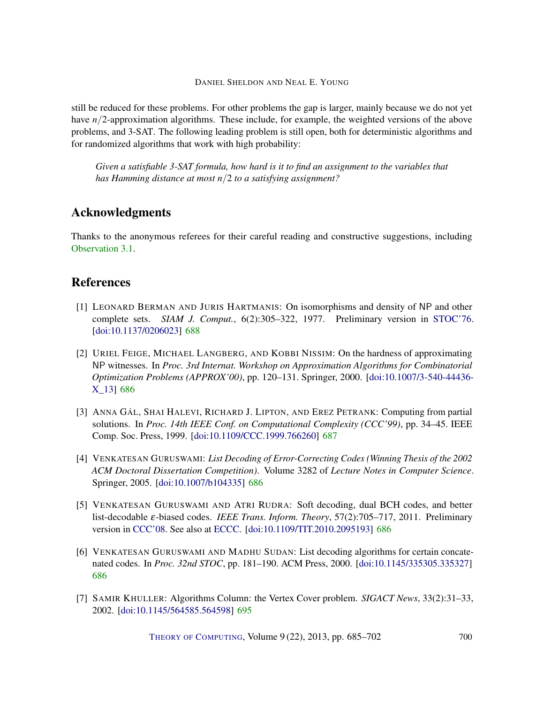still be reduced for these problems. For other problems the gap is larger, mainly because we do not yet have *n*/2-approximation algorithms. These include, for example, the weighted versions of the above problems, and 3-SAT. The following leading problem is still open, both for deterministic algorithms and for randomized algorithms that work with high probability:

*Given a satisfiable 3-SAT formula, how hard is it to find an assignment to the variables that has Hamming distance at most n*/2 *to a satisfying assignment?*

# Acknowledgments

Thanks to the anonymous referees for their careful reading and constructive suggestions, including [Observation](#page-9-0) [3.1.](#page-9-0)

# References

- <span id="page-15-5"></span>[1] LEONARD BERMAN AND JURIS HARTMANIS: On isomorphisms and density of NP and other complete sets. *SIAM J. Comput.*, 6(2):305–322, 1977. Preliminary version in [STOC'76.](http://dx.doi.org/10.1145/800113.803628) [\[doi:10.1137/0206023\]](http://dx.doi.org/10.1137/0206023) [688](#page-3-3)
- <span id="page-15-0"></span>[2] URIEL FEIGE, MICHAEL LANGBERG, AND KOBBI NISSIM: On the hardness of approximating NP witnesses. In *Proc. 3rd Internat. Workshop on Approximation Algorithms for Combinatorial Optimization Problems (APPROX'00)*, pp. 120–131. Springer, 2000. [\[doi:10.1007/3-540-44436-](http://dx.doi.org/10.1007/3-540-44436-X_13) [X\\_13\]](http://dx.doi.org/10.1007/3-540-44436-X_13) [686](#page-1-0)
- <span id="page-15-4"></span>[3] ANNA GÁL, SHAI HALEVI, RICHARD J. LIPTON, AND EREZ PETRANK: Computing from partial solutions. In *Proc. 14th IEEE Conf. on Computational Complexity (CCC'99)*, pp. 34–45. IEEE Comp. Soc. Press, 1999. [\[doi:10.1109/CCC.1999.766260\]](http://dx.doi.org/10.1109/CCC.1999.766260) [687](#page-2-0)
- <span id="page-15-3"></span>[4] VENKATESAN GURUSWAMI: *List Decoding of Error-Correcting Codes (Winning Thesis of the 2002 ACM Doctoral Dissertation Competition)*. Volume 3282 of *Lecture Notes in Computer Science*. Springer, 2005. [\[doi:10.1007/b104335\]](http://dx.doi.org/10.1007/b104335) [686](#page-1-0)
- <span id="page-15-2"></span>[5] VENKATESAN GURUSWAMI AND ATRI RUDRA: Soft decoding, dual BCH codes, and better list-decodable ε-biased codes. *IEEE Trans. Inform. Theory*, 57(2):705–717, 2011. Preliminary version in [CCC'08.](http://dx.doi.org/10.1109/CCC.2008.13) See also at [ECCC.](http://eccc.hpi-web.de/report/2008/036/) [\[doi:10.1109/TIT.2010.2095193\]](http://dx.doi.org/10.1109/TIT.2010.2095193) [686](#page-1-0)
- <span id="page-15-1"></span>[6] VENKATESAN GURUSWAMI AND MADHU SUDAN: List decoding algorithms for certain concatenated codes. In *Proc. 32nd STOC*, pp. 181–190. ACM Press, 2000. [\[doi:10.1145/335305.335327\]](http://dx.doi.org/10.1145/335305.335327) [686](#page-1-0)
- <span id="page-15-6"></span>[7] SAMIR KHULLER: Algorithms Column: the Vertex Cover problem. *SIGACT News*, 33(2):31–33, 2002. [\[doi:10.1145/564585.564598\]](http://dx.doi.org/10.1145/564585.564598) [695](#page-10-2)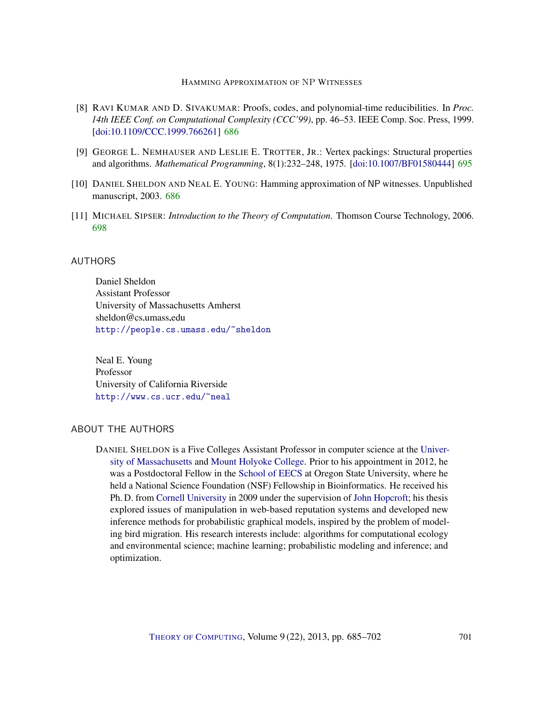- <span id="page-16-2"></span>[8] RAVI KUMAR AND D. SIVAKUMAR: Proofs, codes, and polynomial-time reducibilities. In *Proc. 14th IEEE Conf. on Computational Complexity (CCC'99)*, pp. 46–53. IEEE Comp. Soc. Press, 1999. [\[doi:10.1109/CCC.1999.766261\]](http://dx.doi.org/10.1109/CCC.1999.766261) [686](#page-1-0)
- <span id="page-16-4"></span>[9] GEORGE L. NEMHAUSER AND LESLIE E. TROTTER, JR.: Vertex packings: Structural properties and algorithms. *Mathematical Programming*, 8(1):232–248, 1975. [\[doi:10.1007/BF01580444\]](http://dx.doi.org/10.1007/BF01580444) [695](#page-10-2)
- <span id="page-16-3"></span>[10] DANIEL SHELDON AND NEAL E. YOUNG: Hamming approximation of NP witnesses. Unpublished manuscript, 2003. [686](#page-1-0)
- <span id="page-16-5"></span>[11] MICHAEL SIPSER: *Introduction to the Theory of Computation*. Thomson Course Technology, 2006. [698](#page-13-0)

### <span id="page-16-0"></span>AUTHORS

Daniel Sheldon Assistant Professor University of Massachusetts Amherst sheldon@cs.umass.edu <http://people.cs.umass.edu/~sheldon>

<span id="page-16-1"></span>Neal E. Young Professor University of California Riverside <http://www.cs.ucr.edu/~neal>

### ABOUT THE AUTHORS

DANIEL SHELDON is a Five Colleges Assistant Professor in computer science at the [Univer](http://www.cs.umass.edu)[sity of Massachusetts](http://www.cs.umass.edu) and [Mount Holyoke College.](https://www.mtholyoke.edu/acad/computerscience) Prior to his appointment in 2012, he was a Postdoctoral Fellow in the [School of EECS](http://eecs.oregonstate.edu/) at Oregon State University, where he held a National Science Foundation (NSF) Fellowship in Bioinformatics. He received his Ph. D. from [Cornell University](http://www.cs.cornell.edu) in 2009 under the supervision of [John Hopcroft;](http://www.cs.cornell.edu/jeh) his thesis explored issues of manipulation in web-based reputation systems and developed new inference methods for probabilistic graphical models, inspired by the problem of modeling bird migration. His research interests include: algorithms for computational ecology and environmental science; machine learning; probabilistic modeling and inference; and optimization.